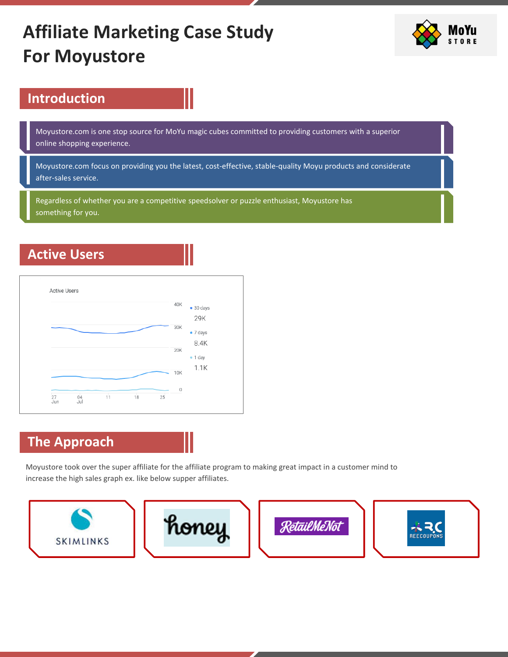# **Affiliate Marketing Case Study For Moyustore**



## **Introduction**

Moyustore.com is one stop source for MoYu magic cubes committed to providing customers with a superior online shopping experience.

Moyustore.com focus on providing you the latest, cost-effective, stable-quality Moyu products and considerate after-sales service.

Regardless of whether you are a competitive speedsolver or puzzle enthusiast, Moyustore has something for you.

### **Active Users**



#### **The Approach**

Moyustore took over the super affiliate for the affiliate program to making great impact in a customer mind to increase the high sales graph ex. like below supper affiliates.